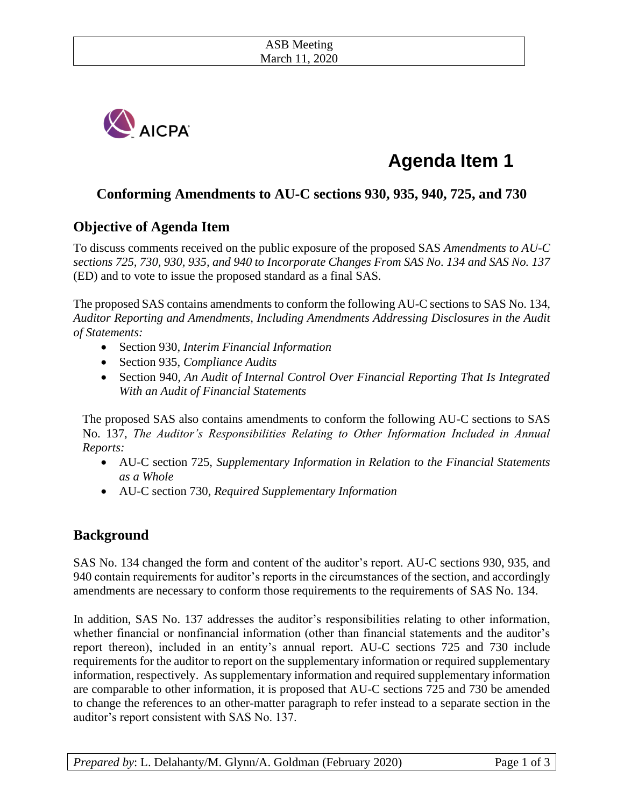

# **Agenda Item 1**

# **Conforming Amendments to AU-C sections 930, 935, 940, 725, and 730**

# **Objective of Agenda Item**

To discuss comments received on the public exposure of the proposed SAS *Amendments to AU-C sections 725, 730, 930, 935, and 940 to Incorporate Changes From SAS No. 134 and SAS No. 137* (ED) and to vote to issue the proposed standard as a final SAS*.* 

The proposed SAS contains amendments to conform the following AU-C sections to SAS No. 134, *Auditor Reporting and Amendments, Including Amendments Addressing Disclosures in the Audit of Statements:*

- Section 930, *Interim Financial Information*
- Section 935, *Compliance Audits*
- Section 940*, An Audit of Internal Control Over Financial Reporting That Is Integrated With an Audit of Financial Statements*

The proposed SAS also contains amendments to conform the following AU-C sections to SAS No. 137, *The Auditor's Responsibilities Relating to Other Information Included in Annual Reports:*

- AU-C section 725, *Supplementary Information in Relation to the Financial Statements as a Whole*
- AU-C section 730, *Required Supplementary Information*

## **Background**

SAS No. 134 changed the form and content of the auditor's report. AU-C sections 930, 935, and 940 contain requirements for auditor's reports in the circumstances of the section, and accordingly amendments are necessary to conform those requirements to the requirements of SAS No. 134.

In addition, SAS No. 137 addresses the auditor's responsibilities relating to other information, whether financial or nonfinancial information (other than financial statements and the auditor's report thereon), included in an entity's annual report*.* AU-C sections 725 and 730 include requirements for the auditor to report on the supplementary information or required supplementary information, respectively. As supplementary information and required supplementary information are comparable to other information, it is proposed that AU-C sections 725 and 730 be amended to change the references to an other-matter paragraph to refer instead to a separate section in the auditor's report consistent with SAS No. 137.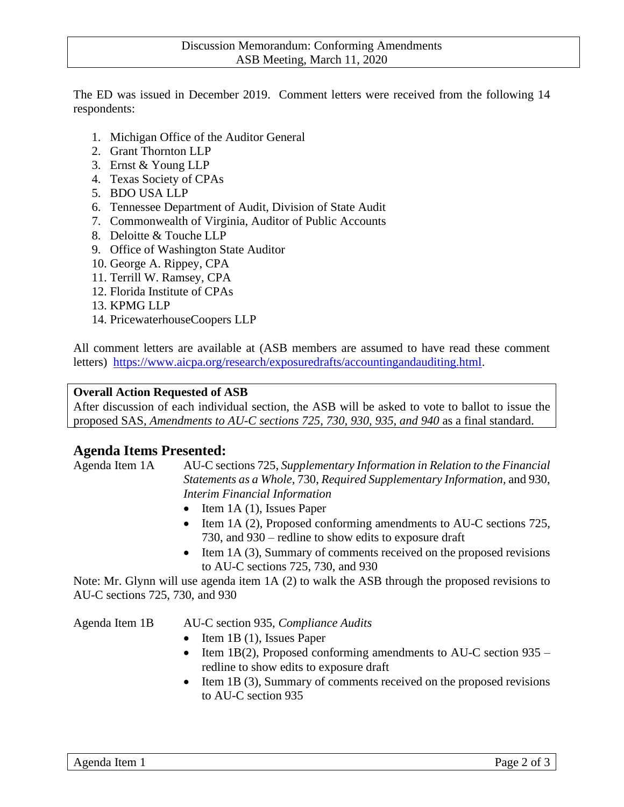The ED was issued in December 2019. Comment letters were received from the following 14 respondents:

- 1. Michigan Office of the Auditor General
- 2. Grant Thornton LLP
- 3. Ernst & Young LLP
- 4. Texas Society of CPAs
- 5. BDO USA LLP
- 6. Tennessee Department of Audit, Division of State Audit
- 7. Commonwealth of Virginia, Auditor of Public Accounts
- 8. Deloitte & Touche LLP
- 9. Office of Washington State Auditor
- 10. George A. Rippey, CPA
- 11. Terrill W. Ramsey, CPA
- 12. Florida Institute of CPAs
- 13. KPMG LLP
- 14. PricewaterhouseCoopers LLP

All comment letters are available at (ASB members are assumed to have read these comment letters) [https://www.aicpa.org/research/exposuredrafts/accountingandauditing.html.](https://www.aicpa.org/research/exposuredrafts/accountingandauditing.html)

#### **Overall Action Requested of ASB**

After discussion of each individual section, the ASB will be asked to vote to ballot to issue the proposed SAS, *Amendments to AU-C sections 725, 730, 930, 935, and 940* as a final standard.

### **Agenda Items Presented:**

Agenda Item 1A AU-C sections 725, *Supplementary Information in Relation to the Financial Statements as a Whole,* 730, *Required Supplementary Information,* and 930, *Interim Financial Information* 

- Item 1A (1), Issues Paper
- Item 1A (2), Proposed conforming amendments to AU-C sections 725, 730, and 930 – redline to show edits to exposure draft
- Item 1A (3), Summary of comments received on the proposed revisions to AU-C sections 725, 730, and 930

Note: Mr. Glynn will use agenda item 1A (2) to walk the ASB through the proposed revisions to AU-C sections 725, 730, and 930

Agenda Item 1B AU-C section 935, *Compliance Audits*

- Item 1B (1), Issues Paper
- Item 1B(2), Proposed conforming amendments to AU-C section  $935$ redline to show edits to exposure draft
- Item 1B (3), Summary of comments received on the proposed revisions to AU-C section 935